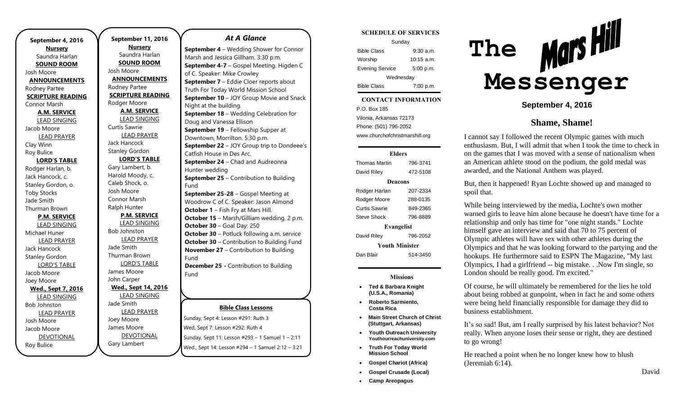**September 4, 2016 Nursery** Saundra Harlan **SOUND ROOM** Josh Moore **ANNOUNCEMENTS** Rodney Partee **SCRIPTURE READING** Connor Marsh **A.M. SERVICE** LEAD SINGING Jacob Moore LEAD PRAYER Clay Winn Roy Bulice **LORD'S TABLE** Rodger Harlan, b. Jack Hancock, c. Stanley Gordon, o. Toby Stocks Jade Smith Thurman Brown **P.M. SERVICE** LEAD SINGING Michael Huner LEAD PRAYER Jack Hancock Stanley Gordon LORD'S TABLE Jacob Moore Joey Moore **Wed., Sept 7, 2016** LEAD SINGING Bob Johnston LEAD PRAYER Josh Moore Jacob Moore DEVOTIONAL

Roy Bulice

**September 11, 2016 Nursery** Saundra Harlan **SOUND ROOM** Josh Moore **ANNOUNCEMENTS** Rodney Partee **SCRIPTURE READING** Rodger Moore **A.M. SERVICE** LEAD SINGING Curtis Sawrie LEAD PRAYER Jack Hancock Stanley Gordon **LORD'S TABLE** Gary Lambert, b. Harold Moody, c. Caleb Shock, o. Josh Moore Connor Marsh Ralph Hunter **P.M. SERVICE** LEAD SINGING Bob Johnston LEAD PRAYER Jade Smith Thurman Brown LORD'S TABLE James Moore John Carper **Wed., Sept 14, 2016** LEAD SINGING Jade Smith LEAD PRAYER Joey Moore James Moore DEVOTIONAL

Gary Lambert

## *At A Glance*

**September 4** – Wedding Shower for Connor Marsh and Jessica Gillham. 3:30 p.m. **September 4-7** – Gospel Meeting. Higden C of C. Speaker: Mike Crowley **September 7** – Eddie Cloer reports about Truth For Today World Mission School **September 10** – JOY Group Movie and Snack Night at the building. **September 18** – Wedding Celebration for Doug and Vanessa Ellison **September 19** – Fellowship Supper at Downtown, Morrilton. 5:30 p.m. **September 22** – JOY Group trip to Dondeee's Catfish House in Des Arc. **September 24** – Chad and Audreonna Hunter wedding **September 25** – Contribution to Building Fund **September 25-28** – Gospel Meeting at Woodrow C of C. Speaker: Jason Almond **October 1** – Fish Fry at Mars Hill. **October 15** – Marsh/Gilliam wedding. 2 p.m. **October 30** – Goal Day: 250 **October 30** – Potluck following a.m. service **October 30 – Contribution to Building Fund November 27** – Contribution to Building Fund **December 25 -** Contribution to Building Fund

## **Bible Class Lessons**

Sunday, Sept 4: Lesson #291: Ruth 3 Wed, Sept 7: Lesson #292: Ruth 4 Sunday, Sept 11: Lesson #293 – 1 Samuel 1 – 2:11 Wed., Sept 14: Lesson #294 – 1 Samuel 2:12 – 3:21

#### **SCHEDULE OF SERVICES**

| Sunday                 |              |
|------------------------|--------------|
| <b>Bible Class</b>     | 9:30 a.m.    |
| Worship                | $10:15$ a.m. |
| <b>Evening Service</b> | 5:00 p.m.    |
| Wednesday              |              |
| <b>Bible Class</b>     | 7:00 p.m.    |

#### $\overline{\phantom{a}}$ **CONTACT INFORMATION**

. .o. Bex ree<br>Vilonia, Arkansas 72173 P.O. Box 185 Phone: (501) 796-2052 www.churchofchristmarshill.org

### **Elders**

Thomas Martin 796-3741 David Riley 472-5108 **Deacons** Rodger Harlan 207-2334 Rodger Moore 288-0135 Curtis Sawrie 849-2365 Steve Shock 796-8889 **Evangelist** David Riley 796-2052 **Youth Minister** Dan Blair 514-3450

### **Missions**

- **Ted & Barbara Knight (U.S.A., Romania)**
- **Roberto Sarmiento, Costa Rica**
- **Main Street Church of Christ (Stuttgart, Arkansas)**
- **Youth Outreach University Youthourreachuniversity.com**
- **Truth For Today World Mission School**
- **Gospel Chariot (Africa)**
- **Gospel Crusade (Local)**
- **Camp Areopagus**



**September 4, 2016**

# **Shame, Shame!**

I cannot say I followed the recent Olympic games with much enthusiasm. But, I will admit that when I took the time to check in on the games that I was moved with a sense of nationalism when an American athlete stood on the podium, the gold medal was awarded, and the National Anthem was played.

But, then it happened! Ryan Lochte showed up and managed to spoil that.

While being interviewed by the media, Lochte's own mother warned girls to leave him alone because he doesn't have time for a relationship and only has time for "one night stands." Lochte himself gave an interview and said that 70 to 75 percent of Olympic athletes will have sex with other athletes during the Olympics and that he was looking forward to the partying and the hookups. He furthermore said to ESPN The Magazine, "My last Olympics, I had a girlfriend -- big mistake. . .Now I'm single, so London should be really good. I'm excited."

Of course, he will ultimately be remembered for the lies he told about being robbed at gunpoint, when in fact he and some others were being held financially responsible for damage they did to business establishment.

It's so sad! But, am I really surprised by his latest behavior? Not really. When anyone loses their sense or right, they are destined to go wrong!

He reached a point when he no longer knew how to blush (Jeremiah 6:14).